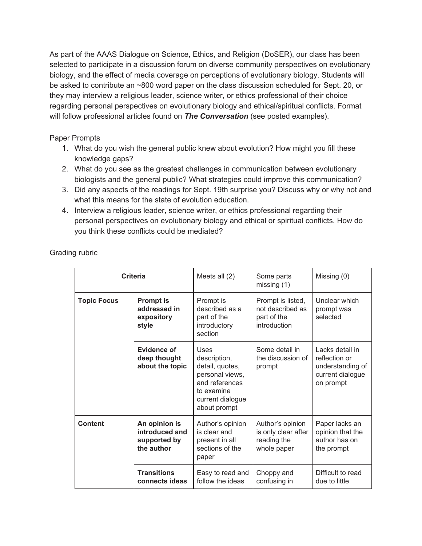As part of the AAAS Dialogue on Science, Ethics, and Religion (DoSER), our class has been selected to participate in a discussion forum on diverse community perspectives on evolutionary biology, and the effect of media coverage on perceptions of evolutionary biology. Students will be asked to contribute an ~800 word paper on the class discussion scheduled for Sept. 20, or they may interview a religious leader, science writer, or ethics professional of their choice regarding personal perspectives on evolutionary biology and ethical/spiritual conflicts. Format will follow professional articles found on *The Conversation* (see posted examples).

Paper Prompts

- 1. What do you wish the general public knew about evolution? How might you fill these knowledge gaps?
- 2. What do you see as the greatest challenges in communication between evolutionary biologists and the general public? What strategies could improve this communication?
- 3. Did any aspects of the readings for Sept. 19th surprise you? Discuss why or why not and what this means for the state of evolution education.
- 4. Interview a religious leader, science writer, or ethics professional regarding their personal perspectives on evolutionary biology and ethical or spiritual conflicts. How do you think these conflicts could be mediated?

| <b>Criteria</b>    |                                                               | Meets all $(2)$                                                                                                                | Some parts<br>missing $(1)$                                           | Missing (0)                                                                           |
|--------------------|---------------------------------------------------------------|--------------------------------------------------------------------------------------------------------------------------------|-----------------------------------------------------------------------|---------------------------------------------------------------------------------------|
| <b>Topic Focus</b> | <b>Prompt is</b><br>addressed in<br>expository<br>style       | Prompt is<br>described as a<br>part of the<br>introductory<br>section                                                          | Prompt is listed,<br>not described as<br>part of the<br>introduction  | Unclear which<br>prompt was<br>selected                                               |
|                    | Evidence of<br>deep thought<br>about the topic                | Uses<br>description,<br>detail, quotes,<br>personal views,<br>and references<br>to examine<br>current dialogue<br>about prompt | Some detail in<br>the discussion of<br>prompt                         | Lacks detail in<br>reflection or<br>understanding of<br>current dialogue<br>on prompt |
| <b>Content</b>     | An opinion is<br>introduced and<br>supported by<br>the author | Author's opinion<br>is clear and<br>present in all<br>sections of the<br>paper                                                 | Author's opinion<br>is only clear after<br>reading the<br>whole paper | Paper lacks an<br>opinion that the<br>author has on<br>the prompt                     |
|                    | <b>Transitions</b><br>connects ideas                          | Easy to read and<br>follow the ideas                                                                                           | Choppy and<br>confusing in                                            | Difficult to read<br>due to little                                                    |

Grading rubric